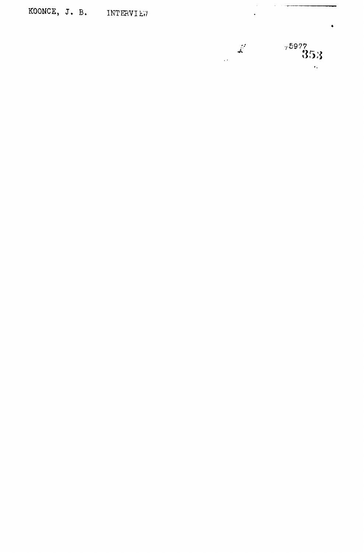KOONCE, J. B. INTERVIEW



 $\hat{\boldsymbol{\beta}}$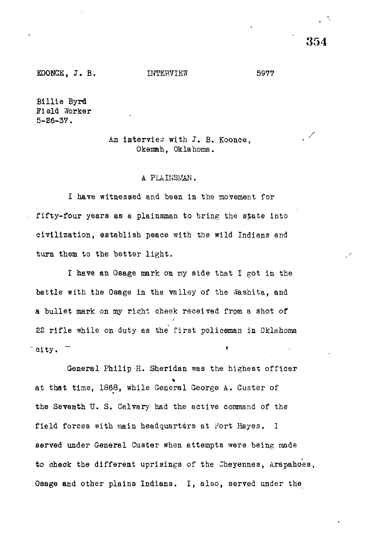KOONCE, J. B. INTERVIEW 5977

Billie Byrd Field .Yorker 5-26-37.

## An interview with J. B. Koonce, Okemah, Oklahoma.

## A PIAINSI/AN.

I have witnessed and been in the movement for fifty-four years as a plainsman to bring the state into civilization, establish peace with the wild Indians and turn them to the better light.

I have an Osage mark on my side that I got in the battle with the Osage in the valley of the Sashita, and a bullet mark on my right cheek received from a shot of 22 rifle while on duty as the first policeman in Oklahoma city.  $\blacksquare$ 

General Philip -H. Sheridan was the highest officer at that time, 1868, while General George A. Ouster of the Seventh U. S. Calvary had the active command of the field forces with main headquarters at Fort Hayes. I served under General Ouster when attempts were being made to check the different uprisings of the Cheyennes, Arapahoes, Osage and other plains Indians, I, also, served under the

354

 $\mathcal{L}$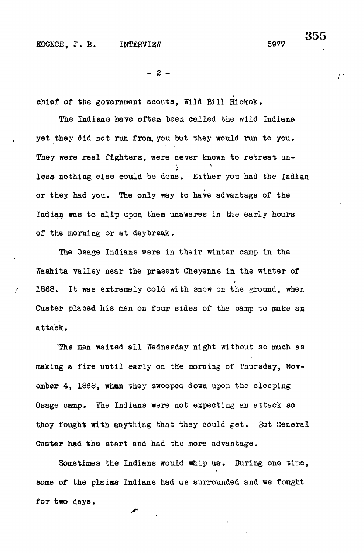$- 2 -$ 

chief of the government scouts, Wild Bill Hickok.

The Indians have often been called the wild Indiana yet they did not run from, you but they would run to you. They were real fighters, were never known to retreat unless nothing else could be done. Either you had the Indian or they had you. The only way to have advantage of the Indian was to slip upon them unawares in the early hours of the morning or at daybreak.

The Osage Indians were in their winter camp in the Washita valley near the present Cheyenne in the winter of 1868. It was extremely cold with snow on the ground, when Custer placed his men on four sides of the camp to make an  $\mathcal{O}(n)$  of the camp to make an four sides of the camp to make an four sides of the camp to make an  $\mathcal{O}(n)$ 

The men waited all Wednesday night without so much as making a fire until early on the morning of Thursday, November 4, 1868, when they swooped down upon the sleeping Osage camp. The Indians were not expecting an attack so they fought with anything that they could get. But General Custer had the start and had the more advantage.

Sometimes the Indians would whip us-. During one time,

355

 $\mathcal{L}$